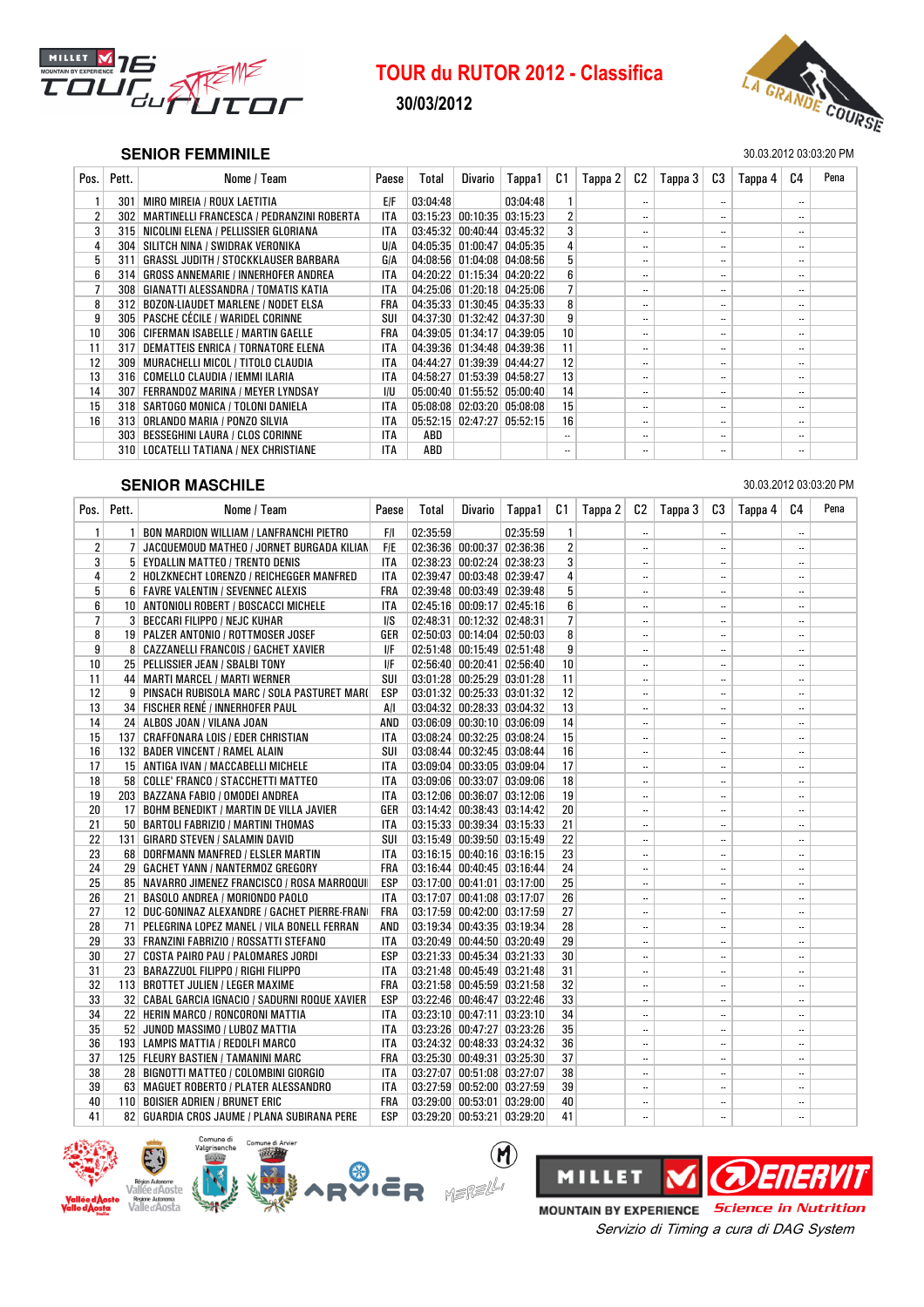

## 30/03/2012



### **SENIOR FEMMINILE** 30.03.2012 03:03:20 PM

| Pos.            | Pett.            | Nome / Team                                 | Paese      | Total    | Divario                              | Tappa1                               | C1 | Tappa 2 | C2                         | Tappa 3 | C3                       | Tappa 4 | C <sub>4</sub>           | Pena |
|-----------------|------------------|---------------------------------------------|------------|----------|--------------------------------------|--------------------------------------|----|---------|----------------------------|---------|--------------------------|---------|--------------------------|------|
|                 | 301              | MIRO MIREIA / ROUX LAETITIA                 | E/F        | 03:04:48 |                                      | 03:04:48                             |    |         | $\overline{\phantom{a}}$   |         | $\overline{\phantom{a}}$ |         | ۰.                       |      |
| $\overline{2}$  | 302 <sub>1</sub> | MARTINELLI FRANCESCA / PEDRANZINI ROBERTA   | <b>ITA</b> |          |                                      | $03:15:23$ 00:10:35 03:15:23         |    |         | $\overline{\phantom{a}}$   |         | $\overline{\phantom{a}}$ |         | ۰.                       |      |
| 3 <sup>1</sup>  |                  | 315 NICOLINI ELENA / PELLISSIER GLORIANA    | <b>ITA</b> |          |                                      | $03:45:32$   $00:40:44$   $03:45:32$ | 3  |         | $\overline{\phantom{a}}$   |         | $\overline{\phantom{a}}$ |         | $\overline{\phantom{a}}$ |      |
| $\overline{4}$  | 304              | SILITCH NINA / SWIDRAK VERONIKA             | <b>U/A</b> |          | 04:05:35 01:00:47 04:05:35           |                                      |    |         | $\overline{\phantom{a}}$   |         | $\overline{\phantom{a}}$ |         | $\overline{\phantom{a}}$ |      |
| 5 <sup>1</sup>  | 311              | <b>GRASSL JUDITH / STOCKKLAUSER BARBARA</b> | GIA        |          | 04:08:56 01:04:08 04:08:56           |                                      | 5  |         | $\overline{\phantom{a}}$ . |         | $\overline{\phantom{a}}$ |         | $\overline{\phantom{a}}$ |      |
| 6               | 314              | <b>GROSS ANNEMARIE / INNERHOFER ANDREA</b>  | <b>ITA</b> |          |                                      | 04:20:22 01:15:34 04:20:22           | 6  |         | $\overline{\phantom{a}}$   |         | $\overline{\phantom{a}}$ |         | $\overline{\phantom{a}}$ |      |
| $\overline{7}$  | 308 <sup>1</sup> | GIANATTI ALESSANDRA / TOMATIS KATIA         | ITA        |          |                                      | 04:25:06 01:20:18 04:25:06           |    |         | $\overline{\phantom{a}}$ . |         | $\overline{\phantom{a}}$ |         | ۰.                       |      |
| 8               |                  | 312 BOZON-LIAUDET MARLENE / NODET ELSA      | FRA        |          |                                      | 04:35:33 01:30:45 04:35:33           | 8  |         | $\overline{\phantom{a}}$   |         | $\overline{\phantom{a}}$ |         | $\overline{\phantom{a}}$ |      |
| 9               |                  | 305   PASCHE CÉCILE / WARIDEL CORINNE       | SUI        |          |                                      | 04:37:30 01:32:42 04:37:30           | 9  |         | $\overline{\phantom{a}}$   |         | $\overline{\phantom{a}}$ |         | $\overline{\phantom{a}}$ |      |
| 10 <sup>1</sup> |                  | 306 CIFERMAN ISABELLE / MARTIN GAELLE       | FRA        |          |                                      | 04:39:05 01:34:17 04:39:05           | 10 |         | $\overline{\phantom{a}}$   |         | $\overline{\phantom{a}}$ |         | $\overline{\phantom{a}}$ |      |
| 11              | 317 <sup>1</sup> | DEMATTEIS ENRICA / TORNATORE ELENA          | <b>ITA</b> |          | $04:39:36$ $01:34:48$ $04:39:36$     |                                      | 11 |         | $\overline{\phantom{a}}$   |         | $\overline{\phantom{a}}$ |         | $\overline{\phantom{a}}$ |      |
| 12              | 309 <sup>1</sup> | MURACHELLI MICOL / TITOLO CLAUDIA           | <b>ITA</b> |          |                                      | 04:44:27 01:39:39 04:44:27           | 12 |         | $\overline{\phantom{a}}$   |         | $\overline{\phantom{a}}$ |         | $\overline{\phantom{a}}$ |      |
| 13              |                  | 316   COMELLO CLAUDIA / IEMMI ILARIA        | <b>ITA</b> |          | 04:58:27 01:53:39 04:58:27           |                                      | 13 |         | $\overline{\phantom{a}}$   |         | $\overline{\phantom{a}}$ |         | $\overline{\phantom{a}}$ |      |
| 14              |                  | 307   FERRANDOZ MARINA / MEYER LYNDSAY      | I/U        |          |                                      | $05:00:40$   $01:55:52$   $05:00:40$ | 14 |         | $\overline{\phantom{a}}$   |         | $\overline{\phantom{a}}$ |         | $\overline{\phantom{a}}$ |      |
| 15              |                  | 318   SARTOGO MONICA / TOLONI DANIELA       | <b>ITA</b> |          | $05:08:08$   $02:03:20$   $05:08:08$ |                                      | 15 |         | $\overline{\phantom{a}}$   |         | $\overline{\phantom{a}}$ |         | $\overline{\phantom{a}}$ |      |
| 16              | 313              | ORLANDO MARIA / PONZO SILVIA                | <b>ITA</b> |          |                                      | $05:52:15$ $02:47:27$ $05:52:15$     | 16 |         | $\overline{\phantom{a}}$   |         | $\overline{\phantom{a}}$ |         | $\overline{\phantom{a}}$ |      |
|                 | 303 <sup>1</sup> | <b>BESSEGHINI LAURA / CLOS CORINNE</b>      | <b>ITA</b> | ABD      |                                      |                                      | ۰. |         | $\overline{\phantom{a}}$   |         |                          |         | $\overline{\phantom{a}}$ |      |
|                 | 310 <sup>1</sup> | LOCATELLI TATIANA / NEX CHRISTIANE          | <b>ITA</b> | ABD      |                                      |                                      | ۰. |         | $\overline{\phantom{a}}$   |         |                          |         | $\overline{\phantom{a}}$ |      |

## SEH **SENIOR MASCHILE** 30.03.2012 03:03:20 PM

| Pos.         | Pett. | Nome / Team                                    | Paese      | Total    | Divario                        | Tappa1   | C1             | Tappa 2 |           | $C2$   Tappa 3 | C3                       | Tappa 4 | C <sub>4</sub>       | Pena |
|--------------|-------|------------------------------------------------|------------|----------|--------------------------------|----------|----------------|---------|-----------|----------------|--------------------------|---------|----------------------|------|
| $\mathbf{1}$ |       | 1 BON MARDION WILLIAM / LANFRANCHI PIETRO      | F/I        | 02:35:59 |                                | 02:35:59 | $\mathbf{1}$   |         | $\ddotsc$ |                |                          |         | $\ddotsc$            |      |
| 2            |       | 7 JACQUEMOUD MATHEO / JORNET BURGADA KILIAN    | <b>F/E</b> |          | $02:36:36$ 00:00:37 02:36:36   |          | $\overline{2}$ |         |           |                |                          |         |                      |      |
| 3            |       | 5 EYDALLIN MATTEO / TRENTO DENIS               | <b>ITA</b> |          | $02:38:23$ 00:02:24 02:38:23   |          | 3              |         | $\ddotsc$ |                | $\ddotsc$                |         |                      |      |
| 4            |       | 2 HOLZKNECHT LORENZO / REICHEGGER MANFRED      | <b>ITA</b> |          | 02:39:47 00:03:48 02:39:47     |          | 4              |         | $\ddotsc$ |                |                          |         |                      |      |
| 5            |       | 6 FAVRE VALENTIN / SEVENNEC ALEXIS             | <b>FRA</b> |          | $02:39:48$ $00:03:49$ 02:39:48 |          | 5              |         | $\ddotsc$ |                |                          |         |                      |      |
| 6            |       | 10 ANTONIOLI ROBERT / BOSCACCI MICHELE         | ITA        |          | 02:45:16 00:09:17 02:45:16     |          | 6              |         | $\ddotsc$ |                | $\ldots$                 |         | $\ddotsc$            |      |
| 7            |       | 3 BECCARI FILIPPO / NEJC KUHAR                 | I/S        |          | 02:48:31 00:12:32 02:48:31     |          | $\overline{7}$ |         | $\ddotsc$ |                | $\ddotsc$                |         |                      |      |
| 8            |       | 19 PALZER ANTONIO / ROTTMOSER JOSEF            | GER        |          | $02:50:03$ 00:14:04 02:50:03   |          | 8              |         | $\ddotsc$ |                |                          |         |                      |      |
| 9            |       | 8 CAZZANELLI FRANCOIS / GACHET XAVIER          | I/F        |          | 02:51:48 00:15:49 02:51:48     |          | 9              |         | $\ddotsc$ |                | $\ddotsc$                |         | $\ddotsc$            |      |
| 10           |       | 25 PELLISSIER JEAN / SBALBI TONY               | I/F        |          | 02:56:40 00:20:41 02:56:40     |          | 10             |         | $\ddotsc$ |                | $\ddotsc$                |         |                      |      |
| 11           |       | 44 MARTI MARCEL / MARTI WERNER                 | SUI        |          | $03:01:28$ 00:25:29 03:01:28   |          | 11             |         | $\ddotsc$ |                | $\ddotsc$                |         |                      |      |
| 12           |       | 9 PINSACH RUBISOLA MARC / SOLA PASTURET MARI   | <b>ESP</b> |          | 03:01:32 00:25:33 03:01:32     |          | 12             |         | $\ddotsc$ |                | $\ddotsc$                |         |                      |      |
| 13           |       | 34 FISCHER RENÉ / INNERHOFER PAUL              | A/I        |          | 03:04:32 00:28:33 03:04:32     |          | 13             |         | $\ddotsc$ |                | $\ddotsc$                |         |                      |      |
| 14           |       | 24 ALBOS JOAN / VILANA JOAN                    | AND        |          | $03:06:09$ 00:30:10 03:06:09   |          | 14             |         | $\ldots$  |                |                          |         |                      |      |
| 15           |       | 137 CRAFFONARA LOIS / EDER CHRISTIAN           | ITA        |          | 03:08:24 00:32:25 03:08:24     |          | 15             |         | $\ddotsc$ |                | $\ddotsc$                |         |                      |      |
| 16           |       | 132 BADER VINCENT / RAMEL ALAIN                | SUI        |          | $03:08:44$ 00:32:45 03:08:44   |          | 16             |         | $\ddotsc$ |                | $\ddotsc$                |         | $\ddot{\phantom{a}}$ |      |
| 17           |       | 15 ANTIGA IVAN / MACCABELLI MICHELE            | ITA        |          | 03:09:04 00:33:05 03:09:04     |          | 17             |         | $\ddotsc$ |                |                          |         |                      |      |
| 18           |       | 58 COLLE' FRANCO / STACCHETTI MATTEO           | <b>ITA</b> |          | $03:09:06$ 00:33:07 03:09:06   |          | 18             |         | $\ddotsc$ |                | $\ddotsc$                |         |                      |      |
| 19           |       | 203 BAZZANA FABIO / OMODEI ANDREA              | ITA        |          | $03:12:06$ 00:36:07 03:12:06   |          | 19             |         | $\ddotsc$ |                | $\ddotsc$                |         |                      |      |
| 20           |       | 17 BOHM BENEDIKT / MARTIN DE VILLA JAVIER      | GER        |          | 03:14:42 00:38:43 03:14:42     |          | 20             |         | $\ddotsc$ |                | $\ddotsc$                |         |                      |      |
| 21           |       | 50 BARTOLI FABRIZIO / MARTINI THOMAS           | <b>ITA</b> |          | 03:15:33 00:39:34 03:15:33     |          | 21             |         | $\ddotsc$ |                | $\ldots$                 |         |                      |      |
| 22           |       | 131   GIRARD STEVEN / SALAMIN DAVID            | SUI        |          | 03:15:49 00:39:50 03:15:49     |          | 22             |         | $\ldots$  |                | $\ddotsc$                |         | $\ddot{\phantom{a}}$ |      |
| 23           |       | 68 DORFMANN MANFRED / ELSLER MARTIN            | ITA        |          | 03:16:15 00:40:16 03:16:15     |          | 23             |         | $\ddotsc$ |                | $\ddotsc$                |         |                      |      |
| 24           |       | 29   GACHET YANN / NANTERMOZ GREGORY           | <b>FRA</b> |          | 03:16:44 00:40:45 03:16:44     |          | 24             |         | $\ldots$  |                | $\ddotsc$                |         |                      |      |
| 25           |       | 85 NAVARRO JIMENEZ FRANCISCO / ROSA MARROQUI   | <b>ESP</b> |          | $03:17:00$ 00:41:01 03:17:00   |          | 25             |         |           |                | $\overline{\phantom{a}}$ |         |                      |      |
| 26           |       | 21 BASOLO ANDREA / MORIONDO PAOLO              | <b>ITA</b> |          | 03:17:07 00:41:08 03:17:07     |          | 26             |         | $\ldots$  |                | $\ddotsc$                |         |                      |      |
| 27           |       | 12 DUC-GONINAZ ALEXANDRE / GACHET PIERRE-FRAN  | <b>FRA</b> |          | 03:17:59 00:42:00 03:17:59     |          | 27             |         | $\ddotsc$ |                | $\ddotsc$                |         |                      |      |
| 28           |       | 71 PELEGRINA LOPEZ MANEL / VILA BONELL FERRAN  | AND        |          | 03:19:34 00:43:35 03:19:34     |          | 28             |         | $\ldots$  |                | $\ddotsc$                |         |                      |      |
| 29           |       | 33   FRANZINI FABRIZIO / ROSSATTI STEFANO      | ITA        |          | 03:20:49 00:44:50 03:20:49     |          | 29             |         | $\ddotsc$ |                | $\ddotsc$                |         |                      |      |
| 30           |       | 27   COSTA PAIRO PAU / PALOMARES JORDI         | <b>ESP</b> |          | 03:21:33 00:45:34 03:21:33     |          | 30             |         | $\ddotsc$ |                | $\ddotsc$                |         |                      |      |
| 31           |       | 23 BARAZZUOL FILIPPO / RIGHI FILIPPO           | <b>ITA</b> |          | 03:21:48 00:45:49 03:21:48     |          | 31             |         | $\ddotsc$ |                | $\ddotsc$                |         |                      |      |
| 32           |       | 113 BROTTET JULIEN / LEGER MAXIME              | <b>FRA</b> |          | $03:21:58$ 00:45:59 03:21:58   |          | 32             |         | $\ldots$  |                | $\ddotsc$                |         |                      |      |
| 33           |       | 32 CABAL GARCIA IGNACIO / SADURNI ROQUE XAVIER | <b>ESP</b> |          | 03:22:46 00:46:47 03:22:46     |          | 33             |         | $\ddotsc$ |                | $\ldots$                 |         |                      |      |
| 34           |       | 22 HERIN MARCO / RONCORONI MATTIA              | <b>ITA</b> |          | 03:23:10 00:47:11 03:23:10     |          | 34             |         | $\ddotsc$ |                | $\ddotsc$                |         |                      |      |
| 35           |       | 52 JUNOD MASSIMO / LUBOZ MATTIA                | <b>ITA</b> |          | 03:23:26 00:47:27 03:23:26     |          | 35             |         |           |                | $\ddotsc$                |         |                      |      |
| 36           |       | 193 LAMPIS MATTIA / REDOLFI MARCO              | <b>ITA</b> |          | 03:24:32 00:48:33 03:24:32     |          | 36             |         | $\ldots$  |                | $\ddotsc$                |         | $\ddotsc$            |      |
| 37           |       | 125 FLEURY BASTIEN / TAMANINI MARC             | FRA        |          | $03:25:30$ 00:49:31 03:25:30   |          | 37             |         | $\ddotsc$ |                | $\ddotsc$                |         |                      |      |
| 38           |       | 28 BIGNOTTI MATTEO / COLOMBINI GIORGIO         | ITA        |          | 03:27:07 00:51:08 03:27:07     |          | 38             |         | $\ddotsc$ |                | $\ddotsc$                |         | $\ddotsc$            |      |
| 39           |       | 63 MAGUET ROBERTO / PLATER ALESSANDRO          | ITA        |          | $03:27:59$ 00:52:00 03:27:59   |          | 39             |         | $\ddotsc$ |                | $\ddotsc$                |         |                      |      |
| 40           |       | 110 BOISIER ADRIEN / BRUNET ERIC               | <b>FRA</b> |          | $03:29:00$ 00:53:01 03:29:00   |          | 40             |         | $\ddotsc$ |                | $\ddotsc$                |         |                      |      |
| 41           |       | 82   GUARDIA CROS JAUME / PLANA SUBIRANA PERE  | <b>ESP</b> |          | 03:29:20 00:53:21 03:29:20     |          | 41             |         |           |                | $\ddotsc$                |         |                      |      |

 $\circledR$ 



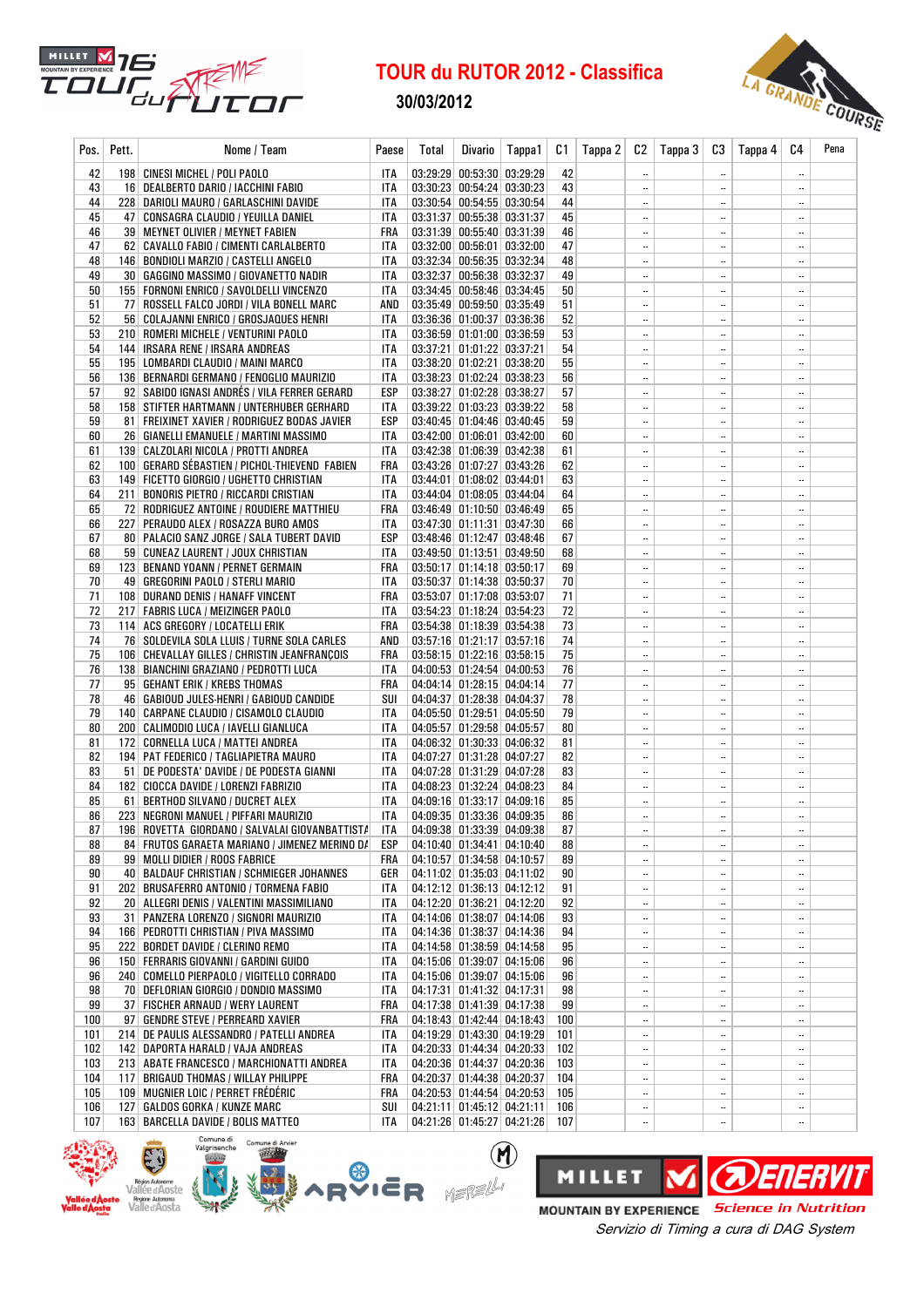

30/03/2012



| Pos.     | Pett. | Nome / Team                                                                             | Paese      | <b>Total</b> | <b>Divario</b>                                           | Tappa1 | C1       | Tappa 2 | C <sub>2</sub>         | Tappa 3 | C3                                    | Tappa 4 | C4                       | Pena |
|----------|-------|-----------------------------------------------------------------------------------------|------------|--------------|----------------------------------------------------------|--------|----------|---------|------------------------|---------|---------------------------------------|---------|--------------------------|------|
| 42       |       | 198 CINESI MICHEL / POLI PAOLO                                                          | ITA        |              | 03:29:29 00:53:30 03:29:29                               |        | 42       |         |                        |         | $\ddotsc$                             |         |                          |      |
| 43       |       | 16 DEALBERTO DARIO / IACCHINI FABIO                                                     | ITA        |              | 03:30:23 00:54:24 03:30:23                               |        | 43       |         |                        |         | $\ddotsc$                             |         |                          |      |
| 44       |       | 228   DARIOLI MAURO / GARLASCHINI DAVIDE                                                | ITA        |              | 03:30:54 00:54:55 03:30:54                               |        | 44       |         |                        |         | $\ddotsc$                             |         |                          |      |
| 45       |       | 47   CONSAGRA CLAUDIO / YEUILLA DANIEL                                                  | ITA        |              | 03:31:37 00:55:38 03:31:37                               |        | 45       |         |                        |         | $\ddotsc$                             |         |                          |      |
| 46       |       | 39 MEYNET OLIVIER / MEYNET FABIEN                                                       | FRA        |              | 03:31:39 00:55:40 03:31:39                               |        | 46       |         | $\ddotsc$              |         | $\ddotsc$                             |         |                          |      |
| 47       |       | 62 CAVALLO FABIO / CIMENTI CARLALBERTO                                                  | <b>ITA</b> |              | $03:32:00$ 00:56:01 03:32:00                             |        | 47       |         |                        |         | $\ddotsc$                             |         | $\overline{\phantom{a}}$ |      |
| 48       |       | 146   BONDIOLI MARZIO / CASTELLI ANGELO                                                 | ITA        |              | 03:32:34 00:56:35 03:32:34                               |        | 48       |         | $\ddotsc$              |         | $\ddotsc$                             |         |                          |      |
| 49       |       | 30   GAGGINO MASSIMO / GIOVANETTO NADIR                                                 | ITA        |              | 03:32:37 00:56:38 03:32:37                               |        | 49       |         | $\ddotsc$              |         | $\ddotsc$                             |         | $\ddotsc$                |      |
| 50<br>51 |       | 155   FORNONI ENRICO / SAVOLDELLI VINCENZO<br>77 ROSSELL FALCO JORDI / VILA BONELL MARC | ITA<br>AND |              | 03:34:45 00:58:46 03:34:45<br>03:35:49 00:59:50 03:35:49 |        | 50<br>51 |         | $\ddotsc$              |         | $\ddotsc$                             |         | <br>                     |      |
| 52       |       | 56   COLAJANNI ENRICO / GROSJAQUES HENRI                                                | ITA        |              | 03:36:36 01:00:37 03:36:36                               |        | 52       |         | $\ddotsc$<br>          |         | $\ddotsc$<br>$\ddotsc$                |         |                          |      |
| 53       |       | 210 ROMERI MICHELE / VENTURINI PAOLO                                                    | ITA        |              | $03:36:59$ 01:01:00 03:36:59                             |        | 53       |         |                        |         | $\overline{\phantom{a}}$              |         |                          |      |
| 54       |       | 144   IRSARA RENE / IRSARA ANDREAS                                                      | ITA        |              | 03:37:21 01:01:22 03:37:21                               |        | 54       |         |                        |         | $\ddotsc$                             |         | $\overline{\phantom{a}}$ |      |
| 55       |       | 195   LOMBARDI CLAUDIO / MAINI MARCO                                                    | ITA        |              | 03:38:20 01:02:21 03:38:20                               |        | 55       |         |                        |         | $\ddotsc$                             |         |                          |      |
| 56       |       | 136 BERNARDI GERMANO / FENOGLIO MAURIZIO                                                | ITA        |              | 03:38:23 01:02:24 03:38:23                               |        | 56       |         | $\ddotsc$              |         | $\ddotsc$                             |         |                          |      |
| 57       |       | 92   SABIDO IGNASI ANDRES / VILA FERRER GERARD                                          | ESP        |              | 03:38:27 01:02:28 03:38:27                               |        | 57       |         | $\ddotsc$              |         | $\ddotsc$                             |         |                          |      |
| 58       |       | 158   STIFTER HARTMANN / UNTERHUBER GERHARD                                             | ITA        |              | 03:39:22 01:03:23 03:39:22                               |        | 58       |         |                        |         | $\ddotsc$                             |         |                          |      |
| 59       |       | 81   FREIXINET XAVIER / RODRIGUEZ BODAS JAVIER                                          | ESP        |              | 03:40:45 01:04:46 03:40:45                               |        | 59       |         |                        |         | $\overline{\phantom{a}}$              |         |                          |      |
| 60       |       | 26   GIANELLI EMANUELE / MARTINI MASSIMO                                                | ITA        |              | $03:42:00$ 01:06:01 03:42:00                             |        | 60       |         | $\ddotsc$              |         | $\ddotsc$                             |         |                          |      |
| 61       |       | 139   CALZOLARI NICOLA / PROTTI ANDREA                                                  | ITA        |              | 03:42:38 01:06:39 03:42:38                               |        | 61       |         | $\ddotsc$              |         | $\ddotsc$                             |         | $\overline{\phantom{a}}$ |      |
| 62       |       | 100 GERARD SÉBASTIEN / PICHOL-THIEVEND FABIEN                                           | FRA        |              | 03:43:26 01:07:27 03:43:26                               |        | 62       |         | $\ddotsc$              |         | $\overline{\phantom{a}}$              |         |                          |      |
| 63       |       | 149 FICETTO GIORGIO / UGHETTO CHRISTIAN                                                 | ITA        |              | 03:44:01 01:08:02 03:44:01                               |        | 63       |         |                        |         | $\ddotsc$                             |         |                          |      |
| 64       |       | 211 BONORIS PIETRO / RICCARDI CRISTIAN                                                  | ITA        |              | 03:44:04 01:08:05 03:44:04                               |        | 64       |         | $\ddotsc$              |         | $\ddotsc$                             |         |                          |      |
| 65       |       | 72 RODRIGUEZ ANTOINE / ROUDIERE MATTHIEU                                                | FRA        |              | 03:46:49 01:10:50 03:46:49                               |        | 65       |         |                        |         |                                       |         | $\ddotsc$                |      |
| 66<br>67 |       | 227   PERAUDO ALEX / ROSAZZA BURO AMOS                                                  | ITA<br>ESP |              | 03:47:30 01:11:31 03:47:30                               |        | 66<br>67 |         | $\ddotsc$<br>$\ddotsc$ |         | $\ddotsc$<br>$\overline{\phantom{a}}$ |         | <br>                     |      |
| 68       |       | 80   PALACIO SANZ JORGE / SALA TUBERT DAVID<br>59 CUNEAZ LAURENT / JOUX CHRISTIAN       | ITA        |              | 03:48:46 01:12:47 03:48:46<br>03:49:50 01:13:51 03:49:50 |        | 68       |         | $\ddotsc$              |         | $\ddotsc$                             |         |                          |      |
| 69       |       | 123   BENAND YOANN / PERNET GERMAIN                                                     | FRA        |              | $03:50:17$ 01:14:18 03:50:17                             |        | 69       |         | $\ddotsc$              |         | $\overline{\phantom{a}}$              |         |                          |      |
| 70       |       | 49   GREGORINI PAOLO / STERLI MARIO                                                     | ITA        |              | 03:50:37 01:14:38 03:50:37                               |        | 70       |         | $\ddotsc$              |         | $\ddotsc$                             |         |                          |      |
| 71       |       | 108 DURAND DENIS / HANAFF VINCENT                                                       | FRA        |              | 03:53:07 01:17:08 03:53:07                               |        | 71       |         | $\ddotsc$              |         | $\ddotsc$                             |         |                          |      |
| 72       |       | 217 FABRIS LUCA / MEIZINGER PAOLO                                                       | ITA        |              | 03:54:23 01:18:24 03:54:23                               |        | 72       |         |                        |         | $\ddotsc$                             |         |                          |      |
| 73       |       | 114 ACS GREGORY / LOCATELLI ERIK                                                        | FRA        |              | 03:54:38 01:18:39 03:54:38                               |        | 73       |         | $\ddotsc$              |         | $\ddotsc$                             |         |                          |      |
| 74       |       | 76   SOLDEVILA SOLA LLUIS / TURNE SOLA CARLES                                           | AND        |              | 03:57:16 01:21:17 03:57:16                               |        | 74       |         | $\ddotsc$              |         | $\overline{\phantom{a}}$              |         |                          |      |
| 75       |       | 106 CHEVALLAY GILLES / CHRISTIN JEANFRANÇOIS                                            | FRA        |              | 03:58:15 01:22:16 03:58:15                               |        | 75       |         | $\ddotsc$              |         | $\ddotsc$                             |         |                          |      |
| 76       |       | 138   BIANCHINI GRAZIANO / PEDROTTI LUCA                                                | ITA        |              | 04:00:53 01:24:54 04:00:53                               |        | 76       |         | $\ddotsc$              |         | $\ddotsc$                             |         |                          |      |
| 77       |       | 95   GEHANT ERIK / KREBS THOMAS                                                         | FRA        |              | 04:04:14 01:28:15 04:04:14                               |        | 77       |         | $\ddotsc$              |         | $\ddotsc$                             |         | $\overline{\phantom{a}}$ |      |
| 78       |       | 46   GABIOUD JULES-HENRI / GABIOUD CANDIDE                                              | SUI        |              | 04:04:37 01:28:38 04:04:37                               |        | 78       |         | $\ddotsc$              |         | $\ddotsc$                             |         |                          |      |
| 79       |       | 140 CARPANE CLAUDIO / CISAMOLO CLAUDIO                                                  | ITA        |              | 04:05:50 01:29:51 04:05:50                               |        | 79       |         | $\ddotsc$              |         | $\ddotsc$                             |         | $\ddotsc$                |      |
| 80       |       | 200 CALIMODIO LUCA / IAVELLI GIANLUCA                                                   | <b>ITA</b> |              | 04:05:57 01:29:58 04:05:57                               |        | 80       |         |                        |         | $\ddotsc$                             |         |                          |      |
| 81       |       | 172 CORNELLA LUCA / MATTEI ANDREA                                                       | ITA        |              | 04:06:32 01:30:33 04:06:32                               |        | 81       |         | $\ddotsc$              |         | $\ddotsc$                             |         |                          |      |
| 82<br>83 |       | 194   PAT FEDERICO / TAGLIAPIETRA MAURO<br>51 DE PODESTA' DAVIDE / DE PODESTA GIANNI    | ITA<br>ITA |              | 04:07:27 01:31:28 04:07:27<br>04:07:28 01:31:29 04:07:28 |        | 82<br>83 |         | $\ddotsc$<br>          |         | $\ddotsc$<br>$\ddotsc$                |         | <br>                     |      |
| 84       |       | 182 CIOCCA DAVIDE / LORENZI FABRIZIO                                                    | ITA        |              | 04:08:23 01:32:24 04:08:23                               |        | 84       |         |                        |         | $\ddotsc$                             |         | $\overline{\phantom{a}}$ |      |
| 85       |       | 61   BERTHOD SILVANO / DUCRET ALEX                                                      | ITA        |              | 04:09:16 01:33:17 04:09:16                               |        | 85       |         |                        |         | $\ddotsc$                             |         |                          |      |
| 86       |       | 223   NEGRONI MANUEL / PIFFARI MAURIZIO                                                 | ITA        |              | 04:09:35 01:33:36 04:09:35                               |        | 86       |         |                        |         | $\ddotsc$                             |         |                          |      |
| 87       |       | 196 ROVETTA GIORDANO / SALVALAI GIOVANBATTIST/                                          | ITA        |              | 04:09:38 01:33:39 04:09:38                               |        | 87       |         |                        |         | $\overline{\phantom{a}}$              |         | $\overline{\phantom{a}}$ |      |
| 88       |       | 84 FRUTOS GARAETA MARIANO / JIMENEZ MERINO D/                                           | ESP        |              | 04:10:40 01:34:41 04:10:40                               |        | 88       |         |                        |         | $\ddotsc$                             |         |                          |      |
| 89       |       | 99 MOLLI DIDIER / ROOS FABRICE                                                          | FRA        |              | 04:10:57 01:34:58 04:10:57                               |        | 89       |         |                        |         | $\ddotsc$                             |         |                          |      |
| 90       |       | 40   BALDAUF CHRISTIAN / SCHMIEGER JOHANNES                                             | GER        |              | 04:11:02 01:35:03 04:11:02                               |        | 90       |         |                        |         | $\ldots$                              |         |                          |      |
| 91       |       | 202 BRUSAFERRO ANTONIO / TORMENA FABIO                                                  | ITA        |              | 04:12:12 01:36:13 04:12:12                               |        | 91       |         | $\ddotsc$              |         | $\ddotsc$                             |         | $\ddotsc$                |      |
| 92       |       | 20 ALLEGRI DENIS / VALENTINI MASSIMILIANO                                               | ITA        |              | 04:12:20 01:36:21 04:12:20                               |        | 92       |         |                        |         | $\overline{\phantom{a}}$              |         |                          |      |
| 93       |       | 31   PANZERA LORENZO / SIGNORI MAURIZIO                                                 | ITA        |              | 04:14:06 01:38:07 04:14:06                               |        | 93       |         | $\ldots$               |         | $\ldots$                              |         |                          |      |
| 94       |       | 166   PEDROTTI CHRISTIAN / PIVA MASSIMO                                                 | ITA        |              | 04:14:36 01:38:37 04:14:36                               |        | 94       |         | $\ldots$               |         | $\ldots$                              |         |                          |      |
| 95       |       | 222 BORDET DAVIDE / CLERINO REMO                                                        | ITA        |              | 04:14:58 01:38:59 04:14:58                               |        | 95       |         |                        |         | $\ddotsc$                             |         |                          |      |
| 96       |       | 150 FERRARIS GIOVANNI / GARDINI GUIDO                                                   | ITA        |              | 04:15:06 01:39:07 04:15:06                               |        | 96       |         |                        |         | $\ldots$                              |         |                          |      |
| 96       |       | 240 COMELLO PIERPAOLO / VIGITELLO CORRADO                                               | ITA        |              | 04:15:06 01:39:07 04:15:06                               |        | 96       |         |                        |         | $\ldots$                              |         |                          |      |
| 98<br>99 |       | 70 DEFLORIAN GIORGIO / DONDIO MASSIMO<br>37 FISCHER ARNAUD / WERY LAURENT               | ITA<br>FRA |              | 04:17:31 01:41:32 04:17:31<br>04:17:38 01:41:39 04:17:38 |        | 98<br>99 |         | <br>                   |         | <br>$\ddotsc$                         |         | <br>                     |      |
| 100      |       | 97 GENDRE STEVE / PERREARD XAVIER                                                       | FRA        |              | 04:18:43 01:42:44 04:18:43                               |        | 100      |         |                        |         | $\ldots$                              |         |                          |      |
| 101      |       | 214 DE PAULIS ALESSANDRO / PATELLI ANDREA                                               | ITA        |              | 04:19:29 01:43:30 04:19:29                               |        | 101      |         |                        |         | $\ldots$                              |         |                          |      |
| 102      |       | 142 DAPORTA HARALD / VAJA ANDREAS                                                       | ITA        |              | 04:20:33 01:44:34 04:20:33                               |        | 102      |         | $\ddotsc$              |         | $\ddotsc$                             |         | $\ddotsc$                |      |
| 103      |       | 213 ABATE FRANCESCO / MARCHIONATTI ANDREA                                               | ITA        |              | 04:20:36 01:44:37 04:20:36                               |        | 103      |         | $\ddotsc$              |         | $\ddotsc$                             |         |                          |      |
| 104      |       | 117 BRIGAUD THOMAS / WILLAY PHILIPPE                                                    | FRA        |              | 04:20:37 01:44:38 04:20:37                               |        | 104      |         |                        |         | $\ldots$                              |         |                          |      |
| 105      |       | 109 MUGNIER LOIC / PERRET FRÉDÉRIC                                                      | FRA        |              | 04:20:53 01:44:54 04:20:53                               |        | 105      |         | $\ddotsc$              |         |                                       |         | $\ddotsc$                |      |
| 106      |       | 127   GALDOS GORKA / KUNZE MARC                                                         | SUI        |              | 04:21:11 01:45:12 04:21:11                               |        | 106      |         |                        |         | $\overline{\phantom{a}}$              |         |                          |      |
| 107      |       | 163 BARCELLA DAVIDE / BOLIS MATTEO                                                      | ITA        |              | 04:21:26 01:45:27 04:21:26 107                           |        |          |         | $\ldots$               |         |                                       |         |                          |      |

 $\circledR$ 



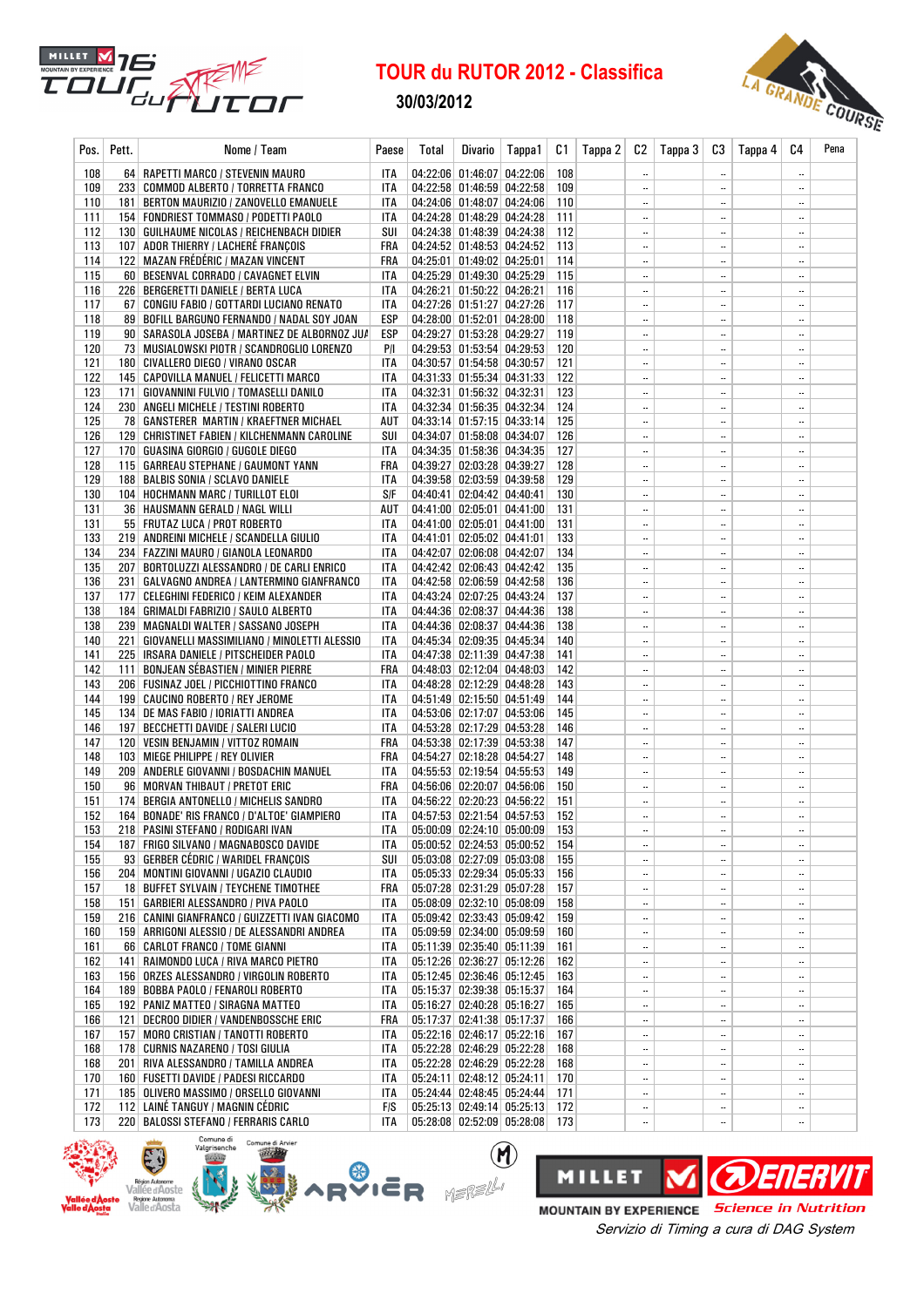

30/03/2012



| Pos.       | Pett. | Nome / Team                                                                    | Paese      | Total | <b>Divario</b>                                           | Tappa1 | C1         | Tappa 2 | C2                     | Tappa 3 | C3                       | Tappa 4 | C4                       | Pena |
|------------|-------|--------------------------------------------------------------------------------|------------|-------|----------------------------------------------------------|--------|------------|---------|------------------------|---------|--------------------------|---------|--------------------------|------|
| 108        |       | 64   RAPETTI MARCO / STEVENIN MAURO                                            | ITA        |       | 04:22:06 01:46:07 04:22:06                               |        | 108        |         |                        |         | $\ddotsc$                |         |                          |      |
| 109        |       | 233 COMMOD ALBERTO / TORRETTA FRANCO                                           | ITA        |       | 04:22:58 01:46:59 04:22:58                               |        | 109        |         | $\ddotsc$              |         | $\ddotsc$                |         |                          |      |
| 110        |       | 181   BERTON MAURIZIO / ZANOVELLO EMANUELE                                     | ITA        |       | 04:24:06 01:48:07 04:24:06                               |        | 110        |         | $\ddotsc$              |         | $\ddotsc$                |         |                          |      |
| 111        |       | 154   FONDRIEST TOMMASO / PODETTI PAOLO                                        | ITA        |       | 04:24:28 01:48:29 04:24:28                               |        | 111        |         | $\ddotsc$              |         | $\ddotsc$                |         |                          |      |
| 112        |       | 130 GUILHAUME NICOLAS / REICHENBACH DIDIER                                     | SUI        |       | 04:24:38 01:48:39 04:24:38                               |        | 112        |         | $\ddotsc$              |         | $\ddotsc$                |         |                          |      |
| 113        |       | 107 ADOR THIERRY / LACHERÉ FRANÇOIS                                            | FRA        |       | 04:24:52 01:48:53 04:24:52                               |        | 113        |         |                        |         | $\overline{\phantom{a}}$ |         |                          |      |
| 114        |       | 122   MAZAN FRÉDÉRIC / MAZAN VINCENT                                           | FRA        |       | 04:25:01 01:49:02 04:25:01                               |        | 114        |         |                        |         | $\ldots$                 |         |                          |      |
| 115        |       | 60 BESENVAL CORRADO / CAVAGNET ELVIN                                           | ITA        |       | 04:25:29 01:49:30 04:25:29                               |        | 115        |         |                        |         | $\ldots$                 |         | $\overline{\phantom{a}}$ |      |
| 116        |       | 226   BERGERETTI DANIELE / BERTA LUCA                                          | ITA        |       | 04:26:21 01:50:22 04:26:21                               |        | 116        |         | $\ldots$               |         | $\overline{\phantom{a}}$ |         |                          |      |
| 117        |       | 67   CONGIU FABIO / GOTTARDI LUCIANO RENATO                                    | ITA        |       | 04:27:26 01:51:27 04:27:26                               |        | 117        |         | $\ddotsc$              |         | $\ddotsc$                |         |                          |      |
| 118        |       | 89 BOFILL BARGUNO FERNANDO / NADAL SOY JOAN                                    | ESP        |       | 04:28:00 01:52:01 04:28:00                               |        | 118        |         | $\ddotsc$              |         | $\ddotsc$                |         |                          |      |
| 119        |       | 90   SARASOLA JOSEBA / MARTINEZ DE ALBORNOZ JU/                                | ESP        |       | 04:29:27 01:53:28 04:29:27                               |        | 119        |         |                        |         | $\ddotsc$                |         |                          |      |
| 120        |       | 73 MUSIALOWSKI PIOTR / SCANDROGLIO LORENZO                                     | P/I        |       | 04:29:53 01:53:54 04:29:53<br>04:30:57 01:54:58 04:30:57 |        | 120        |         | $\ldots$               |         | $\ddotsc$                |         | <br>                     |      |
| 121<br>122 |       | 180 CIVALLERO DIEGO / VIRANO OSCAR<br>145   CAPOVILLA MANUEL / FELICETTI MARCO | ITA<br>ITA |       | 04:31:33 01:55:34 04:31:33                               |        | 121<br>122 |         | $\ddotsc$<br>$\ddotsc$ |         | $\ddotsc$<br>$\ddotsc$   |         | $\overline{\phantom{a}}$ |      |
| 123        |       | 171   GIOVANNINI FULVIO / TOMASELLI DANILO                                     | ITA        |       | 04:32:31 01:56:32 04:32:31                               |        | 123        |         |                        |         | $\overline{\phantom{a}}$ |         |                          |      |
| 124        |       | 230 ANGELI MICHELE / TESTINI ROBERTO                                           | ITA        |       | 04:32:34 01:56:35 04:32:34                               |        | 124        |         | $\ddotsc$              |         | $\ddotsc$                |         |                          |      |
| 125        |       | 78   GANSTERER MARTIN / KRAEFTNER MICHAEL                                      | AUT        |       | 04:33:14 01:57:15 04:33:14                               |        | 125        |         | $\ddotsc$              |         | $\ddotsc$                |         |                          |      |
| 126        |       | 129 CHRISTINET FABIEN / KILCHENMANN CAROLINE                                   | SUI        |       | 04:34:07 01:58:08 04:34:07                               |        | 126        |         | $\ddotsc$              |         | $\ddotsc$                |         |                          |      |
| 127        |       | 170 GUASINA GIORGIO / GUGOLE DIEGO                                             | <b>ITA</b> |       | 04:34:35 01:58:36 04:34:35                               |        | 127        |         | $\ddotsc$              |         | $\overline{\phantom{a}}$ |         |                          |      |
| 128        |       | 115   GARREAU STEPHANE / GAUMONT YANN                                          | FRA        |       | 04:39:27 02:03:28 04:39:27                               |        | 128        |         | $\ddotsc$              |         | $\overline{\phantom{a}}$ |         |                          |      |
| 129        |       | 188   BALBIS SONIA / SCLAVO DANIELE                                            | ITA        |       | 04:39:58 02:03:59 04:39:58                               |        | 129        |         | $\ddotsc$              |         |                          |         |                          |      |
| 130        |       | 104 HOCHMANN MARC / TURILLOT ELOI                                              | S/F        |       | 04:40:41 02:04:42 04:40:41                               |        | 130        |         | $\ddotsc$              |         | $\ddotsc$                |         |                          |      |
| 131        |       | 36   HAUSMANN GERALD / NAGL WILLI                                              | AUT        |       | 04:41:00 02:05:01 04:41:00                               |        | 131        |         | $\ddotsc$              |         | $\ddotsc$                |         | $\overline{\phantom{a}}$ |      |
| 131        |       | 55   FRUTAZ LUCA / PROT ROBERTO                                                | ITA        |       | 04:41:00 02:05:01 04:41:00                               |        | 131        |         | $\ddotsc$              |         | $\ddotsc$                |         |                          |      |
| 133        |       | 219 ANDREINI MICHELE / SCANDELLA GIULIO                                        | ITA        |       | 04:41:01 02:05:02 04:41:01                               |        | 133        |         | $\ddotsc$              |         | $\ddotsc$                |         | Ц.                       |      |
| 134        |       | 234   FAZZINI MAURO / GIANOLA LEONARDO                                         | <b>ITA</b> |       | 04:42:07 02:06:08 04:42:07                               |        | 134        |         |                        |         | $\ddotsc$                |         |                          |      |
| 135        |       | 207   BORTOLUZZI ALESSANDRO / DE CARLI ENRICO                                  | <b>ITA</b> |       | 04:42:42 02:06:43 04:42:42                               |        | 135        |         | $\ddotsc$              |         | $\ddotsc$                |         |                          |      |
| 136        |       | 231   GALVAGNO ANDREA / LANTERMINO GIANFRANCO                                  | ITA        |       | 04:42:58 02:06:59 04:42:58                               |        | 136        |         | $\ddotsc$              |         | $\ddotsc$                |         |                          |      |
| 137        |       | 177   CELEGHINI FEDERICO / KEIM ALEXANDER                                      | ITA        |       | 04:43:24 02:07:25 04:43:24                               |        | 137        |         |                        |         | $\ddotsc$                |         |                          |      |
| 138        |       | 184   GRIMALDI FABRIZIO / SAULO ALBERTO                                        | ITA        |       | 04:44:36 02:08:37 04:44:36                               |        | 138        |         |                        |         | $\ddotsc$                |         | $\ldots$                 |      |
| 138        |       | 239   MAGNALDI WALTER / SASSANO JOSEPH                                         | ITA        |       | 04:44:36 02:08:37 04:44:36                               |        | 138        |         | $\ddotsc$              |         | $\ddotsc$                |         |                          |      |
| 140        |       | 221   GIOVANELLI MASSIMILIANO / MINOLETTI ALESSIO                              | ITA        |       | 04:45:34 02:09:35 04:45:34                               |        | 140        |         | $\ddotsc$              |         | $\ddotsc$                |         |                          |      |
| 141        |       | 225   IRSARA DANIELE / PITSCHEIDER PAOLO                                       | ITA        |       | 04:47:38 02:11:39 04:47:38                               |        | 141        |         | $\ddotsc$              |         | $\ddotsc$                |         |                          |      |
| 142        |       | 111 BONJEAN SÉBASTIEN / MINIER PIERRE                                          | FRA        |       | 04:48:03 02:12:04 04:48:03                               |        | 142        |         | $\ddotsc$              |         | $\ddotsc$                |         |                          |      |
| 143        |       | 206   FUSINAZ JOEL / PICCHIOTTINO FRANCO                                       | ITA        |       | 04:48:28 02:12:29 04:48:28<br>04:51:49 02:15:50 04:51:49 |        | 143<br>144 |         | <br>                   |         | $\ddotsc$<br>$\ldots$    |         | <br>$\ldots$             |      |
| 144<br>145 |       | 199 CAUCINO ROBERTO / REY JEROME<br>134 DE MAS FABIO / IORIATTI ANDREA         | ITA<br>ITA |       | 04:53:06 02:17:07 04:53:06                               |        | 145        |         | $\ddotsc$              |         | $\ddotsc$                |         | $\ddotsc$                |      |
| 146        |       | 197 BECCHETTI DAVIDE / SALERI LUCIO                                            | ITA        |       | 04:53:28 02:17:29 04:53:28                               |        | 146        |         |                        |         | $\ddotsc$                |         |                          |      |
| 147        |       | 120   VESIN BENJAMIN / VITTOZ ROMAIN                                           | FRA        |       | 04:53:38 02:17:39 04:53:38                               |        | 147        |         | $\ddotsc$              |         | $\ddotsc$                |         |                          |      |
| 148        |       | 103   MIEGE PHILIPPE / REY OLIVIER                                             | FRA        |       | 04:54:27 02:18:28 04:54:27                               |        | 148        |         | $\ddotsc$              |         | $\ddotsc$                |         |                          |      |
| 149        |       | 209   ANDERLE GIOVANNI / BOSDACHIN MANUEL                                      | ITA        |       | 04:55:53 02:19:54 04:55:53                               |        | 149        |         | $\ddotsc$              |         | $\ddotsc$                |         |                          |      |
| 150        |       | 96 MORVAN THIBAUT / PRETOT ERIC                                                | FRA        |       | 04:56:06 02:20:07 04:56:06                               |        | 150        |         |                        |         | $\ddotsc$                |         |                          |      |
| 151        |       | 174 BERGIA ANTONELLO / MICHELIS SANDRO                                         | ITA        |       | 04:56:22 02:20:23 04:56:22                               |        | 151        |         |                        |         | $\ddotsc$                |         |                          |      |
| 152        |       | 164 BONADE' RIS FRANCO / D'ALTOE' GIAMPIERO                                    | ITA        |       | 04:57:53 02:21:54 04:57:53                               |        | 152        |         |                        |         | $\ddotsc$                |         |                          |      |
| 153        |       | 218   PASINI STEFANO / RODIGARI IVAN                                           | <b>ITA</b> |       | 05:00:09 02:24:10 05:00:09                               |        | 153        |         | ш,                     |         | $\ddotsc$                |         |                          |      |
| 154        |       | 187 FRIGO SILVANO / MAGNABOSCO DAVIDE                                          | ITA        |       | 05:00:52 02:24:53 05:00:52                               |        | 154        |         |                        |         | $\ddotsc$                |         |                          |      |
| 155        |       | 93 GERBER CÉDRIC / WARIDEL FRANÇOIS                                            | SUI        |       | 05:03:08 02:27:09 05:03:08                               |        | 155        |         |                        |         | $\ddotsc$                |         |                          |      |
| 156        |       | 204   MONTINI GIOVANNI / UGAZIO CLAUDIO                                        | ITA        |       | 05:05:33 02:29:34 05:05:33                               |        | 156        |         |                        |         | $\overline{\phantom{a}}$ |         |                          |      |
| 157        |       | 18 BUFFET SYLVAIN / TEYCHENE TIMOTHEE                                          | FRA        |       | 05:07:28 02:31:29 05:07:28                               |        | 157        |         |                        |         | $\ddotsc$                |         |                          |      |
| 158        |       | 151   GARBIERI ALESSANDRO / PIVA PAOLO                                         | ITA        |       | 05:08:09 02:32:10 05:08:09                               |        | 158        |         |                        |         | $\ddotsc$                |         |                          |      |
| 159        |       | 216   CANINI GIANFRANCO / GUIZZETTI IVAN GIACOMO                               | ITA        |       | 05:09:42 02:33:43 05:09:42                               |        | 159        |         |                        |         |                          |         |                          |      |
| 160        |       | 159   ARRIGONI ALESSIO / DE ALESSANDRI ANDREA                                  | ITA        |       | 05:09:59 02:34:00 05:09:59                               |        | 160        |         |                        |         | $\ddotsc$                |         |                          |      |
| 161        |       | 66 CARLOT FRANCO / TOME GIANNI                                                 | ITA        |       | 05:11:39 02:35:40 05:11:39                               |        | 161        |         |                        |         | $\ddotsc$                |         |                          |      |
| 162        |       | 141 RAIMONDO LUCA / RIVA MARCO PIETRO                                          | ITA        |       | 05:12:26 02:36:27 05:12:26                               |        | 162        |         | $\ddotsc$              |         | $\ddotsc$                |         |                          |      |
| 163<br>164 |       | 156 ORZES ALESSANDRO / VIRGOLIN ROBERTO<br>189 BOBBA PAOLO / FENAROLI ROBERTO  | ITA        |       | 05:12:45 02:36:46 05:12:45<br>05:15:37 02:39:38 05:15:37 |        | 163<br>164 |         |                        |         | $\ddotsc$                |         | <br>                     |      |
| 165        |       | 192 PANIZ MATTEO / SIRAGNA MATTEO                                              | ITA<br>ITA |       | 05:16:27 02:40:28 05:16:27                               |        | 165        |         | <br>$\ddotsc$          |         | $\ddotsc$<br>$\ddotsc$   |         |                          |      |
| 166        |       | 121 DECROO DIDIER / VANDENBOSSCHE ERIC                                         | FRA        |       | 05:17:37 02:41:38 05:17:37                               |        | 166        |         |                        |         |                          |         |                          |      |
| 167        |       | 157 MORO CRISTIAN / TANOTTI ROBERTO                                            | ITA        |       | 05:22:16 02:46:17 05:22:16                               |        | 167        |         |                        |         | $\ddotsc$                |         |                          |      |
| 168        |       | 178 CURNIS NAZARENO / TOSI GIULIA                                              | ITA        |       | 05:22:28 02:46:29 05:22:28                               |        | 168        |         |                        |         | $\ddotsc$                |         |                          |      |
| 168        |       | 201 RIVA ALESSANDRO / TAMILLA ANDREA                                           | ITA        |       | 05:22:28 02:46:29 05:22:28                               |        | 168        |         |                        |         | $\overline{\phantom{a}}$ |         |                          |      |
| 170        |       | 160 FUSETTI DAVIDE / PADESI RICCARDO                                           | ITA        |       | 05:24:11 02:48:12 05:24:11                               |        | 170        |         | $\ddotsc$              |         |                          |         | $\ddotsc$                |      |
| 171        |       | 185 OLIVERO MASSIMO / ORSELLO GIOVANNI                                         | ITA        |       | 05:24:44 02:48:45 05:24:44                               |        | 171        |         |                        |         | $\ddotsc$                |         |                          |      |
| 172        |       | 112 LAINÉ TANGUY / MAGNIN CÉDRIC                                               | <b>FIS</b> |       | 05:25:13 02:49:14 05:25:13 172                           |        |            |         |                        |         | $\ddotsc$                |         |                          |      |
| 173        |       | 220 BALOSSI STEFANO / FERRARIS CARLO                                           | ITA        |       | 05:28:08 02:52:09 05:28:08 173                           |        |            |         | $\ddotsc$              |         | $\ddotsc$                |         | $\ddotsc$                |      |

 $\circledR$ 



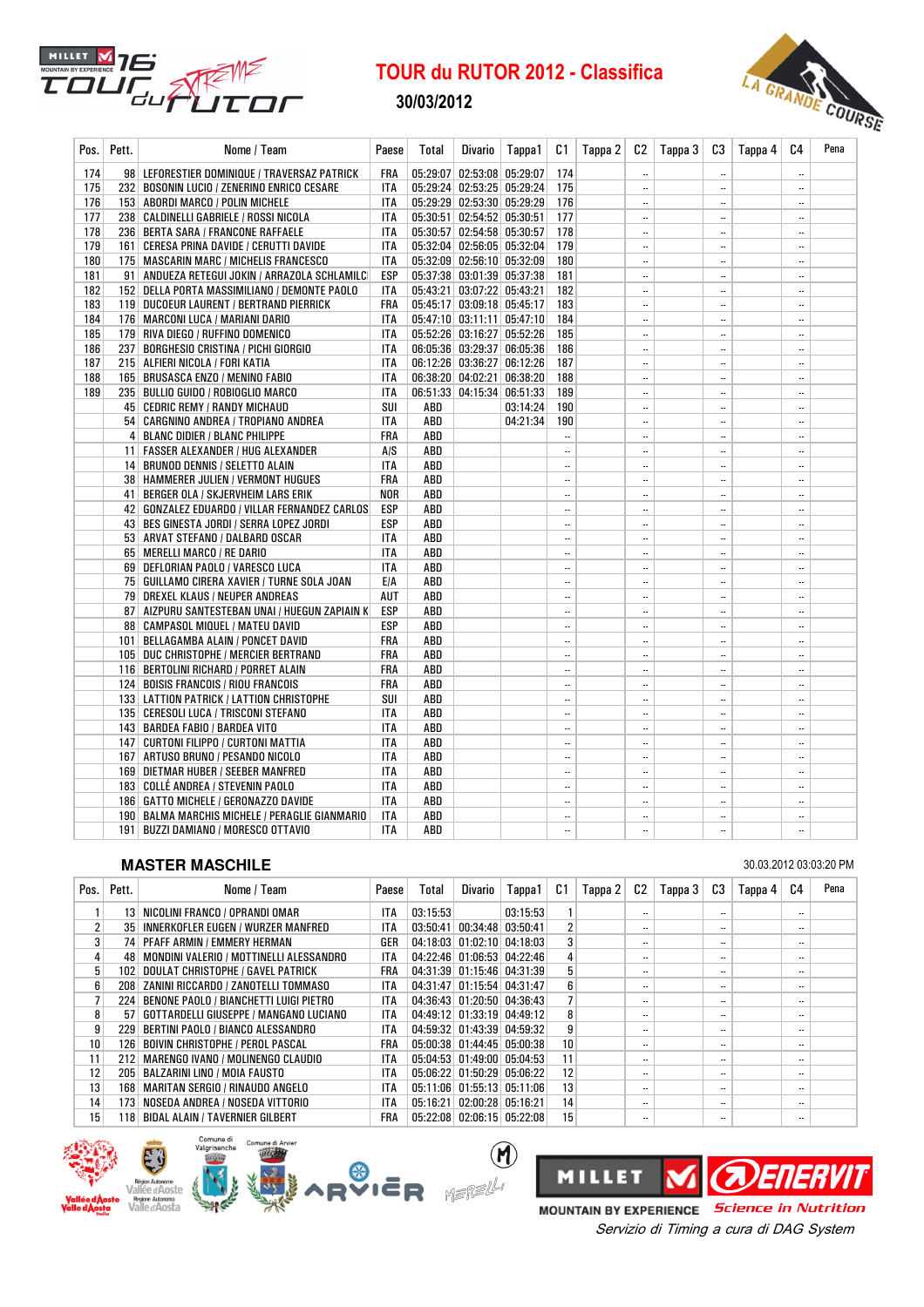

30/03/2012



| Pos. | Pett. | Nome / Team                                                               | Paese      | Total      | Divario                    | Tappa1   | C1            | Tappa 2 | C2                                    | Tappa 3 | C3                         | Tappa 4 | C4            | Pena |
|------|-------|---------------------------------------------------------------------------|------------|------------|----------------------------|----------|---------------|---------|---------------------------------------|---------|----------------------------|---------|---------------|------|
| 174  |       | 98 LEFORESTIER DOMINIQUE / TRAVERSAZ PATRICK                              | FRA        |            | 05:29:07 02:53:08 05:29:07 |          | 174           |         | $\ddotsc$                             |         | $\ddotsc$                  |         |               |      |
| 175  |       | 232 BOSONIN LUCIO / ZENERINO ENRICO CESARE                                | ITA        |            | 05:29:24 02:53:25 05:29:24 |          | 175           |         | $\ddotsc$                             |         | $\ddotsc$                  |         |               |      |
| 176  |       | 153 ABORDI MARCO / POLIN MICHELE                                          | <b>ITA</b> |            | 05:29:29 02:53:30 05:29:29 |          | 176           |         | $\overline{\phantom{a}}$              |         | $\ddotsc$                  |         |               |      |
| 177  |       | 238   CALDINELLI GABRIELE / ROSSI NICOLA                                  | ITA        |            | 05:30:51 02:54:52 05:30:51 |          | 177           |         | $\ddotsc$                             |         | $\ddotsc$                  |         |               |      |
| 178  |       | 236   BERTA SARA / FRANCONE RAFFAELE                                      | <b>ITA</b> |            | 05:30:57 02:54:58 05:30:57 |          | 178           |         | $\ddotsc$                             |         | $\ddotsc$                  |         |               |      |
| 179  |       | 161   CERESA PRINA DAVIDE / CERUTTI DAVIDE                                | <b>ITA</b> |            | 05:32:04 02:56:05 05:32:04 |          | 179           |         | $\overline{\phantom{a}}$              |         | $\ddotsc$                  |         |               |      |
| 180  |       | 175   MASCARIN MARC / MICHELIS FRANCESCO                                  | <b>ITA</b> |            | 05:32:09 02:56:10 05:32:09 |          | 180           |         | $\overline{\phantom{a}}$              |         | $\overline{\phantom{a}}$ . |         |               |      |
| 181  |       | 91   ANDUEZA RETEGUI JOKIN / ARRAZOLA SCHLAMILC                           | ESP        |            | 05:37:38 03:01:39 05:37:38 |          | 181           |         | $\overline{\phantom{a}}$              |         | $\ddotsc$                  |         |               |      |
| 182  |       | 152 DELLA PORTA MASSIMILIANO / DEMONTE PAOLO                              | ITA        |            | 05:43:21 03:07:22 05:43:21 |          | 182           |         | $\ldots$                              |         | $\ldots$                   |         |               |      |
| 183  |       | 119 DUCOEUR LAURENT / BERTRAND PIERRICK                                   | FRA        |            | 05:45:17 03:09:18 05:45:17 |          | 183           |         | $\ddotsc$                             |         | $\ddotsc$                  |         |               |      |
| 184  |       | 176 MARCONI LUCA / MARIANI DARIO                                          | ITA        |            | 05:47:10 03:11:11 05:47:10 |          | 184           |         | $\ddotsc$                             |         | $\ddotsc$                  |         |               |      |
| 185  |       | 179 RIVA DIEGO / RUFFINO DOMENICO                                         | <b>ITA</b> |            | 05:52:26 03:16:27 05:52:26 |          | 185           |         | $\ddotsc$                             |         | $\ddotsc$                  |         |               |      |
| 186  |       | 237   BORGHESIO CRISTINA / PICHI GIORGIO                                  | <b>ITA</b> |            | 06:05:36 03:29:37 06:05:36 |          | 186           |         | $\ddotsc$                             |         | $\ddotsc$                  |         |               |      |
| 187  |       | 215 ALFIERI NICOLA / FORI KATIA                                           | <b>ITA</b> |            | 06:12:26 03:36:27 06:12:26 |          | 187           |         | $\ddotsc$                             |         | $\ddotsc$                  |         |               |      |
| 188  |       | 165 BRUSASCA ENZO / MENINO FABIO                                          | <b>ITA</b> |            | 06:38:20 04:02:21 06:38:20 |          | 188           |         | $\ddotsc$                             |         | $\ddotsc$                  |         |               |      |
| 189  |       | 235   BULLIO GUIDO / ROBIOGLIO MARCO                                      | ITA        |            | 06:51:33 04:15:34 06:51:33 |          | 189           |         | $\ddotsc$                             |         | $\ddotsc$                  |         |               |      |
|      |       | 45   CEDRIC REMY / RANDY MICHAUD                                          | SUI        | ABD        |                            | 03:14:24 | 190           |         | $\ddotsc$                             |         | $\ddotsc$                  |         | <br>          |      |
|      |       | 54   CARGNINO ANDREA / TROPIANO ANDREA<br>4 BLANC DIDIER / BLANC PHILIPPE | ITA<br>FRA | ABD<br>ABD |                            | 04:21:34 | 190<br>       |         | $\ddotsc$<br>$\overline{\phantom{a}}$ |         | $\ddotsc$<br>              |         |               |      |
|      |       | 11   FASSER ALEXANDER / HUG ALEXANDER                                     | A/S        | ABD        |                            |          | $\ddotsc$     |         | $\ddotsc$                             |         | $\ddotsc$                  |         |               |      |
|      |       | 14 BRUNOD DENNIS / SELETTO ALAIN                                          | ITA        | ABD        |                            |          |               |         | $\ddotsc$                             |         | $\ddotsc$                  |         |               |      |
|      |       | 38   HAMMERER JULIEN / VERMONT HUGUES                                     | FRA        | ABD        |                            |          |               |         | $\overline{\phantom{a}}$              |         | $\ddotsc$                  |         |               |      |
|      |       | 41 BERGER OLA / SKJERVHEIM LARS ERIK                                      | <b>NOR</b> | ABD        |                            |          |               |         | $\overline{\phantom{a}}$              |         | $\ldots$                   |         |               |      |
|      |       | 42   GONZALEZ EDUARDO / VILLAR FERNANDEZ CARLOS                           | ESP        | ABD        |                            |          |               |         | $\ddotsc$                             |         | $\ddotsc$                  |         |               |      |
|      |       | 43   BES GINESTA JORDI / SERRA LOPEZ JORDI                                | ESP        | ABD        |                            |          | $\ddotsc$     |         | $\ddotsc$                             |         | $\overline{\phantom{a}}$   |         |               |      |
|      |       | 53   ARVAT STEFANO / DALBARD OSCAR                                        | ITA        | ABD        |                            |          |               |         | $\ddotsc$                             |         | $\ddotsc$                  |         |               |      |
|      |       | 65 MERELLI MARCO / RE DARIO                                               | ITA        | ABD        |                            |          | $\ddotsc$     |         | $\ddotsc$                             |         | $\ddotsc$                  |         |               |      |
|      |       | 69 DEFLORIAN PAOLO / VARESCO LUCA                                         | <b>ITA</b> | ABD        |                            |          | $\ddotsc$     |         | $\ddotsc$                             |         | $\ddotsc$                  |         |               |      |
|      |       | 75   GUILLAMO CIRERA XAVIER / TURNE SOLA JOAN                             | E/A        | ABD        |                            |          |               |         | $\overline{\phantom{a}}$              |         | $\ddotsc$                  |         |               |      |
|      |       | 79 DREXEL KLAUS / NEUPER ANDREAS                                          | AUT        | ABD        |                            |          |               |         | $\overline{\phantom{a}}$              |         |                            |         |               |      |
|      |       | 87   AIZPURU SANTESTEBAN UNAI / HUEGUN ZAPIAIN K                          | ESP        | ABD        |                            |          |               |         | $\ddotsc$                             |         | $\ddotsc$                  |         |               |      |
|      |       | 88   CAMPASOL MIQUEL / MATEU DAVID                                        | ESP        | ABD        |                            |          |               |         | $\ddotsc$                             |         | $\ddotsc$                  |         |               |      |
|      |       | 101   BELLAGAMBA ALAIN / PONCET DAVID                                     | FRA        | ABD        |                            |          |               |         | $\ddotsc$                             |         | $\ddotsc$                  |         |               |      |
|      |       | 105 DUC CHRISTOPHE / MERCIER BERTRAND                                     | FRA        | ABD        |                            |          | $\ddotsc$     |         | $\overline{\phantom{a}}$              |         |                            |         |               |      |
|      |       | 116   BERTOLINI RICHARD / PORRET ALAIN                                    | FRA        | ABD        |                            |          |               |         | $\ddotsc$                             |         | $\ddotsc$                  |         |               |      |
|      |       | 124 BOISIS FRANCOIS / RIOU FRANCOIS                                       | FRA        | ABD        |                            |          |               |         | $\ddotsc$                             |         | $\overline{\phantom{a}}$   |         |               |      |
|      |       | 133 LATTION PATRICK / LATTION CHRISTOPHE                                  | SUI        | ABD        |                            |          |               |         | $\ddotsc$                             |         | $\overline{\phantom{a}}$   |         |               |      |
|      |       | 135   CERESOLI LUCA / TRISCONI STEFANO                                    | ITA        | ABD        |                            |          |               |         | $\ddotsc$                             |         | $\ldots$                   |         |               |      |
|      |       | 143   BARDEA FABIO / BARDEA VITO                                          | ITA        | ABD        |                            |          |               |         | $\ddotsc$                             |         | $\ddotsc$                  |         |               |      |
|      |       | 147 CURTONI FILIPPO / CURTONI MATTIA                                      | ITA        | ABD        |                            |          |               |         | $\ddotsc$                             |         | $\ddotsc$                  |         |               |      |
|      |       | 167   ARTUSO BRUNO / PESANDO NICOLO<br>169 DIETMAR HUBER / SEEBER MANFRED | ITA<br>ITA | ABD<br>ABD |                            |          | $\ddotsc$<br> |         | $\ddotsc$<br>$\ddotsc$                |         | <br>$\ddotsc$              |         | <br>$\ddotsc$ |      |
|      |       | 183 COLLÉ ANDREA / STEVENIN PAOLO                                         | <b>ITA</b> | ABD        |                            |          | $\ddotsc$     |         |                                       |         |                            |         |               |      |
|      |       | 186   GATTO MICHELE / GERONAZZO DAVIDE                                    | <b>ITA</b> | ABD        |                            |          |               |         | $\ddotsc$                             |         | $\ddotsc$                  |         |               |      |
|      |       | 190   BALMA MARCHIS MICHELE / PERAGLIE GIANMARIO                          | ITA        | ABD        |                            |          |               |         |                                       |         |                            |         |               |      |
|      |       | 191 BUZZI DAMIANO / MORESCO OTTAVIO                                       | <b>ITA</b> | ABD        |                            |          |               |         |                                       |         | $\ddotsc$                  |         |               |      |
|      |       |                                                                           |            |            |                            |          |               |         |                                       |         |                            |         |               |      |

## **MASTER MASCHILE** 30.03.2012 03:03:20 PM

| Pos.            | Pett. | Nome / Team                                  | Paese      | Total    | Divario | Tappa1                                 | C1             | Tappa 2 | C2                       | Tappa 3 | C3                       | Tappa 4 | C4                       | Pena |
|-----------------|-------|----------------------------------------------|------------|----------|---------|----------------------------------------|----------------|---------|--------------------------|---------|--------------------------|---------|--------------------------|------|
|                 |       | 13   NICOLINI FRANCO / OPRANDI OMAR          | <b>ITA</b> | 03:15:53 |         | 03:15:53                               |                |         | $\ddotsc$                |         | $\overline{\phantom{a}}$ |         |                          |      |
| 2               |       | 35 INNERKOFLER EUGEN / WURZER MANFRED        | <b>ITA</b> | 03:50:41 |         | $00:34:48$ 03:50:41                    | $\overline{2}$ |         | $\overline{\phantom{a}}$ |         | $\ddotsc$                |         | $\overline{\phantom{a}}$ |      |
| 3               |       | 74 PFAFF ARMIN / EMMERY HERMAN               | GER        | 04:18:03 |         | $01:02:10$ 04:18:03                    | 3              |         | $\ddotsc$                |         | $\overline{\phantom{a}}$ |         | $\overline{\phantom{a}}$ |      |
| 4               |       | 48   MONDINI VALERIO / MOTTINELLI ALESSANDRO | ITA        |          |         | 04:22:46 01:06:53 04:22:46             | $\overline{4}$ |         | $\overline{\phantom{a}}$ |         | $\ddotsc$                |         | $\overline{\phantom{a}}$ |      |
| 5               |       | 102 DOULAT CHRISTOPHE / GAVEL PATRICK        | FRA        |          |         | 04:31:39 01:15:46 04:31:39             | 5              |         | $\overline{\phantom{a}}$ |         | $\ddotsc$                |         | $\overline{\phantom{a}}$ |      |
| 6               |       | 208 ZANINI RICCARDO / ZANOTELLI TOMMASO      | <b>ITA</b> | 04:31:47 |         | $01:15:54$ 04:31:47                    | 6              |         | $\ddotsc$                |         | $\overline{\phantom{a}}$ |         |                          |      |
| 7               |       | 224 BENONE PAOLO / BIANCHETTI LUIGI PIETRO   | ITA        |          |         | 04:36:43 01:20:50 04:36:43             |                |         | $\overline{\phantom{a}}$ |         | $\ddotsc$                |         | $\overline{\phantom{a}}$ |      |
| 8               |       | 57   GOTTARDELLI GIUSEPPE / MANGANO LUCIANO  | <b>ITA</b> |          |         | 04:49:12 01:33:19 04:49:12             | 8              |         | $\overline{\phantom{a}}$ |         | $\ddotsc$                |         |                          |      |
| 9               |       | 229 BERTINI PAOLO / BIANCO ALESSANDRO        | ITA        |          |         | 04:59:32 01:43:39 04:59:32             | 9              |         | $\overline{\phantom{a}}$ |         | $\cdot$ .                |         | $\overline{\phantom{a}}$ |      |
| 10 <sup>1</sup> |       | 126 BOIVIN CHRISTOPHE / PEROL PASCAL         | FRA        |          |         | 05:00:38 01:44:45 05:00:38             | 10             |         | $\overline{\phantom{a}}$ |         | $\overline{\phantom{a}}$ |         | $\overline{\phantom{a}}$ |      |
| 11              |       | 212 MARENGO IVANO / MOLINENGO CLAUDIO        | <b>ITA</b> |          |         | 05:04:53 01:49:00 05:04:53             | 11             |         | $\ddotsc$                |         | $\overline{\phantom{a}}$ |         | $\overline{\phantom{a}}$ |      |
| 12 <sub>1</sub> |       | 205 BALZARINI LINO / MOIA FAUSTO             | <b>ITA</b> |          |         | 05:06:22 01:50:29 05:06:22             | 12             |         | $\ddotsc$                |         | $\overline{\phantom{a}}$ |         | $\overline{\phantom{a}}$ |      |
| 13              |       | 168   MARITAN SERGIO / RINAUDO ANGELO        | <b>ITA</b> | 05:11:06 |         | $\mid$ 01:55:13 $\mid$ 05:11:06 $\mid$ | 13             |         | $\ddotsc$                |         | $\ddotsc$                |         | $\overline{\phantom{a}}$ |      |
| 14              |       | 173 NOSEDA ANDREA / NOSEDA VITTORIO          | <b>ITA</b> | 05:16:21 |         | $02:00:28$ 05:16:21                    | 14             |         | $\ddotsc$                |         | $\overline{\phantom{a}}$ |         | $\overline{\phantom{a}}$ |      |
| 15              | 118   | <b>BIDAL ALAIN / TAVERNIER GILBERT</b>       | <b>FRA</b> | 05:22:08 |         | $02:06:15$ 05:22:08                    | 15             |         | $\ddotsc$                |         | $\overline{\phantom{a}}$ |         |                          |      |